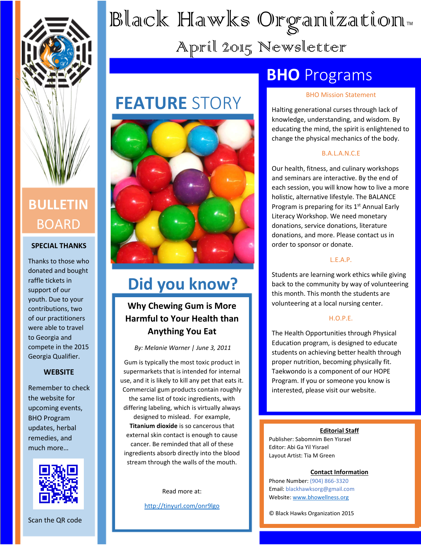

### **BULLETIN** BOARD

#### **SPECIAL THANKS**

Thanks to those who donated and bought raffle tickets in support of our youth. Due to your contributions, two of our practitioners were able to travel to Georgia and compete in the 2015 Georgia Qualifier.

#### **WEBSITE**

Remember to check the website for upcoming events, BHO Program updates, herbal remedies, and much more…



Scan the QR code

# Black Hawks Organization… April 2015 Newsletter

# **FEATURE** STORY



### **Did you know?**

#### **Why Chewing Gum is More Harmful to Your Health than Anything You Eat**

*By: Melanie Warner | June 3, 2011*

Gum is typically the most toxic product in supermarkets that is intended for internal use, and it is likely to kill any pet that eats it. Commercial gum products contain roughly the same list of toxic ingredients, with differing labeling, which is virtually always designed to mislead. For example, **Titanium dioxide** is so cancerous that external skin contact is enough to cause cancer. Be reminded that all of these ingredients absorb directly into the blood stream through the walls of the mouth.

Read more at:

<http://tinyurl.com/onr9lgo>

### **BHO** Programs

#### BHO Mission Statement

Halting generational curses through lack of knowledge, understanding, and wisdom. By educating the mind, the spirit is enlightened to change the physical mechanics of the body.

#### B.A.L.A.N.C.E

Our health, fitness, and culinary workshops and seminars are interactive. By the end of each session, you will know how to live a more holistic, alternative lifestyle. The BALANCE Program is preparing for its  $1<sup>st</sup>$  Annual Early Literacy Workshop. We need monetary donations, service donations, literature donations, and more. Please contact us in order to sponsor or donate.

#### L.E.A.P.

Students are learning work ethics while giving back to the community by way of volunteering this month. This month the students are volunteering at a local nursing center.

#### H.O.P.E.

The Health Opportunities through Physical Education program, is designed to educate students on achieving better health through proper nutrition, becoming physically fit. Taekwondo is a component of our HOPE Program. If you or someone you know is interested, please visit our website.

#### **Editorial Staff**

Publisher: Sabomnim Ben Yisrael Editor: Abi Ga Yil Yisrael Layout Artist: Tia M Green

#### **Contact Information**

Phone Number: (904) 866-3320 Email: blackhawksorg@gmail.com Website: [www.bhowellness.org](http://www.bhowellness.org/)

© Black Hawks Organization 2015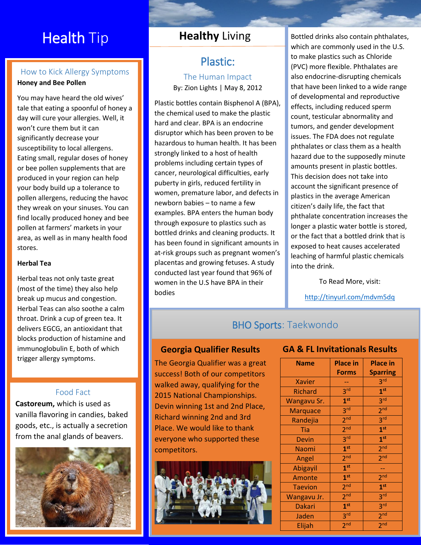### **Health Tip**

#### How to Kick Allergy Symptoms **Honey and Bee Pollen**

You may have heard the old wives' tale that eating a spoonful of honey a day will cure your allergies. Well, it won't cure them but it can significantly decrease your susceptibility to local allergens. Eating small, regular doses of honey or bee pollen supplements that are produced in your region can help your body build up a tolerance to pollen allergens, reducing the havoc they wreak on your sinuses. You can find locally produced honey and bee pollen at farmers' markets in your area, as well as in many health food stores.

#### **Herbal Tea**

Herbal teas not only taste great (most of the time) they also help break up mucus and congestion. Herbal Teas can also soothe a calm throat. Drink a cup of green tea. It delivers EGCG, an antioxidant that blocks production of histamine and immunoglobulin E, both of which trigger allergy symptoms.

#### Food Fact

**Castoreum,** which is used as vanilla flavoring in candies, baked goods, etc., is actually a secretion from the anal glands of beavers.



#### **Healthy** Living

#### Plastic: The Human Impact By: Zion Lights | May 8, 2012

Plastic bottles contain Bisphenol A (BPA), the chemical used to make the plastic hard and clear. BPA is an endocrine disruptor which has been proven to be hazardous to human health. It has been strongly linked to a host of health problems including certain types of cancer, neurological difficulties, early puberty in girls, reduced fertility in women, premature labor, and defects in newborn babies – to name a few examples. BPA enters the human body through exposure to plastics such as bottled drinks and cleaning products. It has been found in significant amounts in at-risk groups such as pregnant women's placentas and growing fetuses. A study conducted last year found that 96% of women in the U.S have BPA in their bodies

Bottled drinks also contain phthalates, which are commonly used in the U.S. to make plastics such as Chloride (PVC) more flexible. Phthalates are also endocrine-disrupting chemicals that have been linked to a wide range of developmental and reproductive effects, including reduced sperm count, testicular abnormality and tumors, and gender development issues. The FDA does not regulate phthalates or class them as a health hazard due to the supposedly minute amounts present in plastic bottles. This decision does not take into account the significant presence of plastics in the average American citizen's daily life, the fact that phthalate concentration increases the longer a plastic water bottle is stored, or the fact that a bottled drink that is exposed to heat causes accelerated leaching of harmful plastic chemicals into the drink.

To Read More, visit:

<http://tinyurl.com/mdvm5dq>

#### BHO Sports: Taekwondo

The Georgia Qualifier was a great success! Both of our competitors walked away, qualifying for the 2015 National Championships. Devin winning 1st and 2nd Place, Richard winning 2nd and 3rd Place. We would like to thank everyone who supported these competitors.



#### **Georgia Qualifier Results GA & FL Invitationals Results**

| <b>Name</b>     | <b>Place in</b> | <b>Place in</b> |
|-----------------|-----------------|-----------------|
|                 | <b>Forms</b>    | <b>Sparring</b> |
| <b>Xavier</b>   |                 | 3 <sup>rd</sup> |
| <b>Richard</b>  | 3 <sup>rd</sup> | 1 <sup>st</sup> |
| Wangavu Sr.     | 1 <sup>st</sup> | 3 <sup>rd</sup> |
| <b>Marquace</b> | 3 <sup>rd</sup> | 2 <sup>nd</sup> |
| Randejia        | 2 <sub>nd</sub> | 3 <sup>rd</sup> |
| Tia             | 2 <sup>nd</sup> | 1 <sup>st</sup> |
| <b>Devin</b>    | 3 <sup>rd</sup> | 1 <sup>st</sup> |
| Naomi           | 1 <sup>st</sup> | 2 <sub>nd</sub> |
| Angel           | 2 <sub>nd</sub> | 2 <sub>nd</sub> |
| Abigayil        | 1 <sup>st</sup> |                 |
| Amonte          | 1 <sup>st</sup> | 2 <sup>nd</sup> |
| <b>Taevion</b>  | 2 <sup>nd</sup> | 1 <sup>st</sup> |
| Wangavu Jr.     | 2 <sup>nd</sup> | 3 <sup>rd</sup> |
| <b>Dakari</b>   | 1 <sup>st</sup> | 3 <sup>rd</sup> |
| Jaden           | 3 <sup>rd</sup> | 2 <sub>nd</sub> |
| Elijah          | 2 <sub>nd</sub> | 2 <sub>nd</sub> |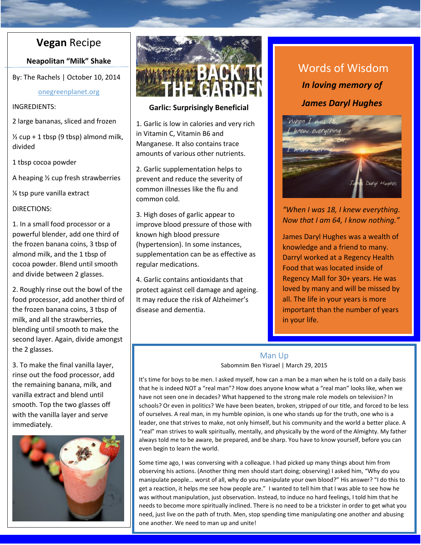#### **Vegan** Recipe

**Neapolitan "Milk" Shake**

By: The Rachels | October 10, 2014

onegreenplanet.org

INGREDIENTS:

2 large bananas, sliced and frozen

 $\frac{1}{2}$  cup + 1 tbsp (9 tbsp) almond milk, divided

1 tbsp cocoa powder

A heaping ½ cup fresh strawberries

¼ tsp pure vanilla extract

DIRECTIONS:

1. In a small food processor or a powerful blender, add one third of the frozen banana coins, 3 tbsp of almond milk, and the 1 tbsp of cocoa powder. Blend until smooth and divide between 2 glasses.

2. Roughly rinse out the bowl of the food processor, add another third of the frozen banana coins, 3 tbsp of milk, and all the strawberries, blending until smooth to make the second layer. Again, divide amongst the 2 glasses.

3. To make the final vanilla layer, rinse out the food processor, add the remaining banana, milk, and vanilla extract and blend until smooth. Top the two glasses off with the vanilla layer and serve immediately.





#### **Garlic: Surprisingly Beneficial**

1. Garlic is low in calories and very rich in Vitamin C, Vitamin B6 and Manganese. It also contains trace amounts of various other nutrients.

2. Garlic supplementation helps to prevent and reduce the severity of common illnesses like the flu and common cold.

3. High doses of garlic appear to improve blood pressure of those with known high blood pressure (hypertension). In some instances, supplementation can be as effective as regular medications.

4. Garlic contains antioxidants that protect against cell damage and ageing. It may reduce the risk of Alzheimer's disease and dementia.

### *In loving memory of James Daryl Hughes* Words of Wisdom



#### *"When I was 18, I knew everything. Now that I am 64, I know nothing."*

James Daryl Hughes was a wealth of knowledge and a friend to many. Darryl worked at a Regency Health Food that was located inside of Regency Mall for 30+ years. He was loved by many and will be missed by all. The life in your years is more important than the number of years in your life.

#### Man Up Sabomnim Ben Yisrael | March 29, 2015

It's time for boys to be men. I asked myself, how can a man be a man when he is told on a daily basis that he is indeed NOT a "real man"? How does anyone know what a "real man" looks like, when we have not seen one in decades? What happened to the strong male role models on television? In schools? Or even in politics? We have been beaten, broken, stripped of our title, and forced to be less of ourselves. A real man, in my humble opinion, is one who stands up for the truth, one who is a leader, one that strives to make, not only himself, but his community and the world a better place. A "real" man strives to walk spiritually, mentally, and physically by the word of the Almighty. My father always told me to be aware, be prepared, and be sharp. You have to know yourself, before you can even begin to learn the world.

Some time ago, I was conversing with a colleague. I had picked up many things about him from observing his actions. (Another thing men should start doing; observing) I asked him, "Why do you manipulate people… worst of all, why do you manipulate your own blood?" His answer? "I do this to get a reaction, it helps me see how people are." I wanted to tell him that I was able to see how he was without manipulation, just observation. Instead, to induce no hard feelings, I told him that he needs to become more spiritually inclined. There is no need to be a trickster in order to get what you need, just live on the path of truth. Men, stop spending time manipulating one another and abusing one another. We need to man up and unite!